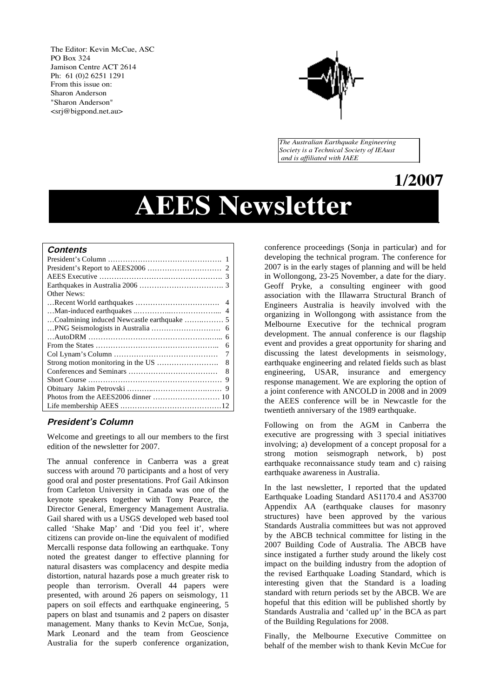The Editor: Kevin McCue, ASC PO Box 324 Jamison Centre ACT 2614 Ph: 61 (0)2 6251 1291 From this issue on: Sharon Anderson "Sharon Anderson" <srj@bigpond.net.au>



*The Australian Earthquake Engineering Society is a Technical Society of IEAust and is affiliated with IAEE*

# **1/2007**

# **AEES Newsletter**

#### **Contents**

| Other News:        |
|--------------------|
|                    |
| $\overline{4}$     |
|                    |
| 6                  |
| $$ AutoDRM $$<br>6 |
| 6                  |
| 7                  |
| 8                  |
| 8                  |
|                    |
|                    |
|                    |
|                    |

#### **President's Column**

Welcome and greetings to all our members to the first edition of the newsletter for 2007.

The annual conference in Canberra was a great success with around 70 participants and a host of very good oral and poster presentations. Prof Gail Atkinson from Carleton University in Canada was one of the keynote speakers together with Tony Pearce, the Director General, Emergency Management Australia. Gail shared with us a USGS developed web based tool called 'Shake Map' and 'Did you feel it', where citizens can provide on-line the equivalent of modified Mercalli response data following an earthquake. Tony noted the greatest danger to effective planning for natural disasters was complacency and despite media distortion, natural hazards pose a much greater risk to people than terrorism. Overall 44 papers were presented, with around 26 papers on seismology, 11 papers on soil effects and earthquake engineering, 5 papers on blast and tsunamis and 2 papers on disaster management. Many thanks to Kevin McCue, Sonja, Mark Leonard and the team from Geoscience Australia for the superb conference organization, conference proceedings (Sonja in particular) and for developing the technical program. The conference for 2007 is in the early stages of planning and will be held in Wollongong, 23-25 November, a date for the diary. Geoff Pryke, a consulting engineer with good association with the Illawarra Structural Branch of Engineers Australia is heavily involved with the organizing in Wollongong with assistance from the Melbourne Executive for the technical program development. The annual conference is our flagship event and provides a great opportunity for sharing and discussing the latest developments in seismology, earthquake engineering and related fields such as blast engineering, USAR, insurance and emergency response management. We are exploring the option of a joint conference with ANCOLD in 2008 and in 2009 the AEES conference will be in Newcastle for the twentieth anniversary of the 1989 earthquake.

Following on from the AGM in Canberra the executive are progressing with 3 special initiatives involving; a) development of a concept proposal for a strong motion seismograph network, b) post earthquake reconnaissance study team and c) raising earthquake awareness in Australia.

In the last newsletter, I reported that the updated Earthquake Loading Standard AS1170.4 and AS3700 Appendix AA (earthquake clauses for masonry structures) have been approved by the various Standards Australia committees but was not approved by the ABCB technical committee for listing in the 2007 Building Code of Australia. The ABCB have since instigated a further study around the likely cost impact on the building industry from the adoption of the revised Earthquake Loading Standard, which is interesting given that the Standard is a loading standard with return periods set by the ABCB. We are hopeful that this edition will be published shortly by Standards Australia and 'called up' in the BCA as part of the Building Regulations for 2008.

Finally, the Melbourne Executive Committee on behalf of the member wish to thank Kevin McCue for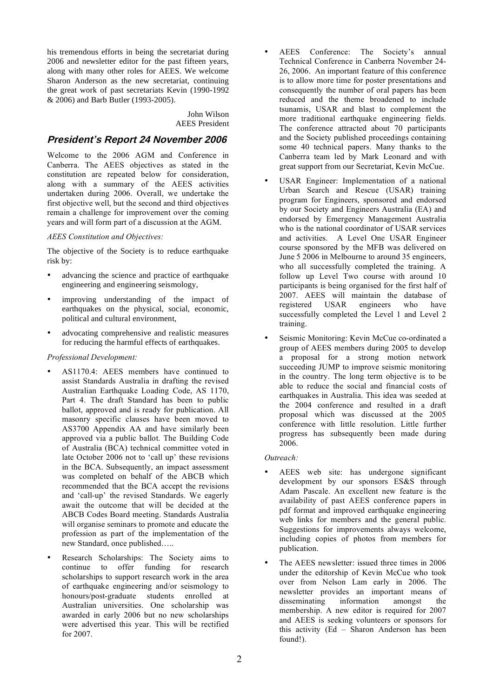his tremendous efforts in being the secretariat during 2006 and newsletter editor for the past fifteen years, along with many other roles for AEES. We welcome Sharon Anderson as the new secretariat, continuing the great work of past secretariats Kevin (1990-1992 & 2006) and Barb Butler (1993-2005).

#### John Wilson AEES President

# **President'<sup>s</sup> Report 24 November 2006**

Welcome to the 2006 AGM and Conference in Canberra. The AEES objectives as stated in the constitution are repeated below for consideration, along with a summary of the AEES activities undertaken during 2006. Overall, we undertake the first objective well, but the second and third objectives remain a challenge for improvement over the coming years and will form part of a discussion at the AGM.

#### *AEES Constitution and Objectives:*

The objective of the Society is to reduce earthquake risk by:

- advancing the science and practice of earthquake engineering and engineering seismology,
- improving understanding of the impact of earthquakes on the physical, social, economic, political and cultural environment,
- advocating comprehensive and realistic measures for reducing the harmful effects of earthquakes.

#### *Professional Development:*

- AS1170.4: AEES members have continued to assist Standards Australia in drafting the revised Australian Earthquake Loading Code, AS 1170, Part 4. The draft Standard has been to public ballot, approved and is ready for publication. All masonry specific clauses have been moved to AS3700 Appendix AA and have similarly been approved via a public ballot. The Building Code of Australia (BCA) technical committee voted in late October 2006 not to 'call up' these revisions in the BCA. Subsequently, an impact assessment was completed on behalf of the ABCB which recommended that the BCA accept the revisions and 'call-up' the revised Standards. We eagerly await the outcome that will be decided at the ABCB Codes Board meeting. Standards Australia will organise seminars to promote and educate the profession as part of the implementation of the new Standard, once published…..
- Research Scholarships: The Society aims to continue to offer funding for research scholarships to support research work in the area of earthquake engineering and/or seismology to honours/post-graduate students enrolled at Australian universities. One scholarship was awarded in early 2006 but no new scholarships were advertised this year. This will be rectified for 2007.
- AEES Conference: The Society's annual Technical Conference in Canberra November 24- 26, 2006. An important feature of this conference is to allow more time for poster presentations and consequently the number of oral papers has been reduced and the theme broadened to include tsunamis, USAR and blast to complement the more traditional earthquake engineering fields. The conference attracted about 70 participants and the Society published proceedings containing some 40 technical papers. Many thanks to the Canberra team led by Mark Leonard and with great support from our Secretariat, Kevin McCue.
- USAR Engineer: Implementation of a national Urban Search and Rescue (USAR) training program for Engineers, sponsored and endorsed by our Society and Engineers Australia (EA) and endorsed by Emergency Management Australia who is the national coordinator of USAR services and activities. A Level One USAR Engineer course sponsored by the MFB was delivered on June 5 2006 in Melbourne to around 35 engineers, who all successfully completed the training. A follow up Level Two course with around 10 participants is being organised for the first half of 2007. AEES will maintain the database of registered USAR engineers who have successfully completed the Level 1 and Level 2 training.
- Seismic Monitoring: Kevin McCue co-ordinated a group of AEES members during 2005 to develop a proposal for a strong motion network succeeding JUMP to improve seismic monitoring in the country. The long term objective is to be able to reduce the social and financial costs of earthquakes in Australia. This idea was seeded at the 2004 conference and resulted in a draft proposal which was discussed at the 2005 conference with little resolution. Little further progress has subsequently been made during 2006.

#### *Outreach:*

- AEES web site: has undergone significant development by our sponsors ES&S through Adam Pascale. An excellent new feature is the availability of past AEES conference papers in pdf format and improved earthquake engineering web links for members and the general public. Suggestions for improvements always welcome, including copies of photos from members for publication.
- The AEES newsletter: issued three times in 2006 under the editorship of Kevin McCue who took over from Nelson Lam early in 2006. The newsletter provides an important means of disseminating information amongst the membership. A new editor is required for 2007 and AEES is seeking volunteers or sponsors for this activity (Ed – Sharon Anderson has been found!).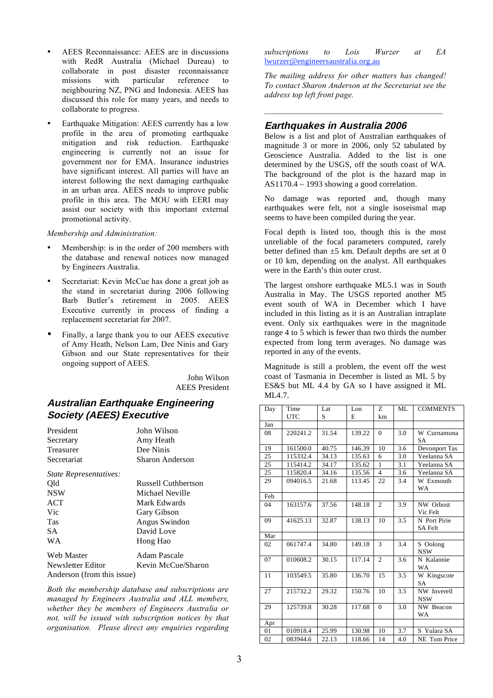- AEES Reconnaissance: AEES are in discussions with RedR Australia (Michael Dureau) to collaborate in post disaster reconnaissance missions with particular reference to neighbouring NZ, PNG and Indonesia. AEES has discussed this role for many years, and needs to collaborate to progress.
- Earthquake Mitigation: AEES currently has a low profile in the area of promoting earthquake mitigation and risk reduction. Earthquake engineering is currently not an issue for government nor for EMA. Insurance industries have significant interest. All parties will have an interest following the next damaging earthquake in an urban area. AEES needs to improve public profile in this area. The MOU with EERI may assist our society with this important external promotional activity.

*Membership and Administration:*

- Membership: is in the order of 200 members with the database and renewal notices now managed by Engineers Australia.
- Secretariat: Kevin McCue has done a great job as the stand in secretariat during 2006 following Barb Butler's retirement in 2005. AEES Executive currently in process of finding a replacement secretariat for 2007.
- Finally, a large thank you to our AEES executive of Amy Heath, Nelson Lam, Dee Ninis and Gary Gibson and our State representatives for their ongoing support of AEES.

John Wilson AEES President

# **Australian Earthquake Engineering Society (AEES) Executive**

| President<br>Secretary<br>Treasurer<br>Secretariat | John Wilson<br>Amy Heath<br>Dee Ninis<br>Sharon Anderson |  |  |
|----------------------------------------------------|----------------------------------------------------------|--|--|
| <i>State Representatives:</i>                      |                                                          |  |  |
| Old                                                | Russell Cuthbertson                                      |  |  |
| <b>NSW</b>                                         | Michael Neville                                          |  |  |
| ACT                                                | Mark Edwards                                             |  |  |
| Vic                                                | Gary Gibson                                              |  |  |
| <b>Tas</b>                                         | Angus Swindon                                            |  |  |
| <b>SA</b>                                          | David Love                                               |  |  |
| <b>WA</b>                                          | Hong Hao                                                 |  |  |
| Web Master                                         | Adam Pascale                                             |  |  |
| Newsletter Editor                                  | Kevin McCue/Sharon                                       |  |  |
|                                                    |                                                          |  |  |

Anderson (from this issue)

*Both the membership database and subscriptions are managed by Engineers Australia and ALL members, whether they be members of Engineers Australia or not, will be issued with subscription notices by that organisation. Please direct any enquiries regarding* *subscriptions to Lois Wurzer at EA* lwurzer@engineersaustralia.org.au

*The mailing address for other matters has changed! To contact Sharon Anderson at the Secretariat see the address top left front page.*

#### **Earthquakes in Australia 2006**

Below is a list and plot of Australian earthquakes of magnitude 3 or more in 2006, only 52 tabulated by Geoscience Australia. Added to the list is one determined by the USGS, off the south coast of WA. The background of the plot is the hazard map in AS1170.4 – 1993 showing a good correlation.

No damage was reported and, though many earthquakes were felt, not a single isoseismal map seems to have been compiled during the year.

Focal depth is listed too, though this is the most unreliable of the focal parameters computed, rarely better defined than  $\pm$ 5 km. Default depths are set at 0 or 10 km, depending on the analyst. All earthquakes were in the Earth's thin outer crust.

The largest onshore earthquake ML5.1 was in South Australia in May. The USGS reported another M5 event south of WA in December which I have included in this listing as it is an Australian intraplate event. Only six earthquakes were in the magnitude range 4 to 5 which is fewer than two thirds the number expected from long term averages. No damage was reported in any of the events.

Magnitude is still a problem, the event off the west coast of Tasmania in December is listed as ML 5 by ES&S but ML 4.4 by GA so I have assigned it ML ML4.7.

| Day | Time       | Lat   | Lon    | Z              | ML               | <b>COMMENTS</b> |
|-----|------------|-------|--------|----------------|------------------|-----------------|
|     | <b>UTC</b> | S     | E      | km             |                  |                 |
| Jan |            |       |        |                |                  |                 |
| 08  | 220241.2   | 31.54 | 139.22 | $\overline{0}$ | 3.0              | W Curnamona     |
|     |            |       |        |                |                  | <b>SA</b>       |
| 19  | 161500.0   | 40.75 | 146.39 | 10             | 3.6              | Devonport Tas   |
| 25  | 115332.4   | 34.13 | 135.63 | 6              | 3.0              | Yeelanna SA     |
| 25  | 115414.2   | 34.17 | 135.62 | $\mathbf{1}$   | 3.1              | Yeelanna SA     |
| 25  | 115820.4   | 34.16 | 135.56 | $\overline{4}$ | 3.6              | Yeelanna SA     |
| 29  | 094016.5   | 21.68 | 113.45 | 22             | 3.4              | W Exmouth       |
|     |            |       |        |                |                  | WA              |
| Feb |            |       |        |                |                  |                 |
| 04  | 163157.6   | 37.56 | 148.18 | $\overline{2}$ | 3.9              | NW Orbost       |
|     |            |       |        |                |                  | Vic Felt        |
| 09  | 41625.13   | 32.87 | 138.13 | 10             | 3.5              | N Port Pirie    |
|     |            |       |        |                |                  | SA Felt         |
| Mar |            |       |        |                |                  |                 |
| 02  | 061747.4   | 34.80 | 149.18 | 3              | 3.4              | S Oolong        |
|     |            |       |        |                |                  | <b>NSW</b>      |
| 07  | 010608.2   | 30.15 | 117.14 | $\overline{c}$ | 3.6              | N Kalannie      |
|     |            |       |        |                |                  | <b>WA</b>       |
| 11  | 103549.5   | 35.80 | 136.70 | 15             | 3.5              | W Kingscote     |
|     |            |       |        |                |                  | <b>SA</b>       |
| 27  | 215732.2   | 29.32 | 150.76 | 10             | $\overline{3.5}$ | NW Inverell     |
|     |            |       |        |                |                  | <b>NSW</b>      |
| 29  | 125739.8   | 30.28 | 117.68 | $\theta$       | 3.0              | NW Beacon       |
|     |            |       |        |                |                  | WA              |
| Apr |            |       |        |                |                  |                 |
| 01  | 010918.4   | 25.99 | 130.98 | 10             | 3.7              | S Yulara SA     |
| 02  | 083944.6   | 22.13 | 118.66 | 14             | 4.0              | NE Tom Price    |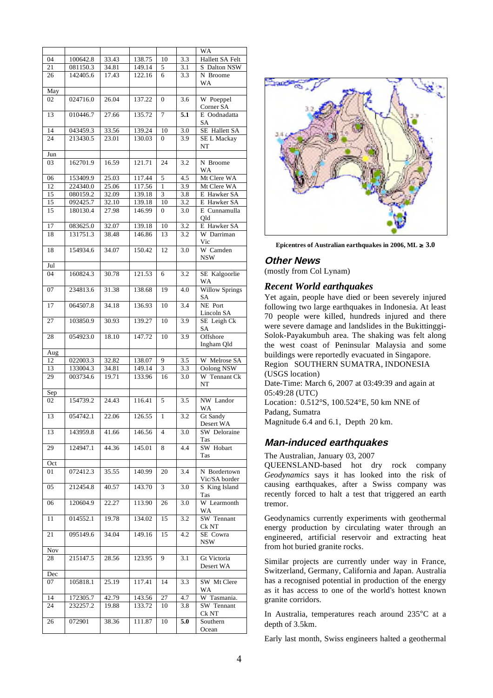|           |          |                             |        |                |                  | <b>WA</b>                        |
|-----------|----------|-----------------------------|--------|----------------|------------------|----------------------------------|
| 04        | 100642.8 | 33.43                       | 138.75 | 10             | 3.3              | Hallett SA Felt                  |
| 21        | 081150.3 | 5<br>34.81<br>149.14<br>3.1 |        |                | S Dalton NSW     |                                  |
| 26        | 142405.6 | 17.43                       | 122.16 | 6              | 3.3              | N Broome                         |
| May       |          |                             |        |                |                  | WA                               |
| 02        | 024716.0 | 26.04                       | 137.22 | 0              | 3.6              | W Poeppel                        |
|           |          |                             |        |                |                  | Corner SA                        |
| 13        | 010446.7 | 27.66                       | 135.72 | 7              | 5.1              | E Oodnadatta                     |
|           |          |                             |        |                |                  | SA                               |
| 14        | 043459.3 | 33.56                       | 139.24 | 10             | $3.0\,$          | SE Hallett SA                    |
| 24        | 213430.5 | 23.01                       | 130.03 | 0              | 3.9              | SE L Mackay                      |
| Jun       |          |                             |        |                |                  | NT                               |
| 03        | 162701.9 | 16.59                       | 121.71 | 24             | 3.2              | $\overline{N}$ Broome            |
|           |          |                             |        |                |                  | WA                               |
| 06        | 153409.9 | 25.03                       | 117.44 | 5              | 4.5              | Mt Clere WA                      |
| 12        | 224340.0 | 25.06                       | 117.56 | $\mathbf{1}$   | 3.9              | Mt Clere WA                      |
| 15        | 080159.2 | 32.09                       | 139.18 | 3              | $\overline{3.8}$ | E Hawker SA                      |
| 15        | 092425.7 | 32.10                       | 139.18 | 10             | 3.2              | E Hawker SA                      |
| 15        | 180130.4 | 27.98                       | 146.99 | 0              | 3.0              | E Cunnamulla                     |
| 17        | 083625.0 | 32.07                       | 139.18 | 10             | 3.2              | Qld<br>E Hawker SA               |
| 18        | 131751.3 | 38.48                       | 146.86 | 13             | 3.2              | W Darriman                       |
|           |          |                             |        |                |                  | Vic                              |
| 18        | 154934.6 | 34.07                       | 150.42 | 12             | 3.0              | W Camden                         |
|           |          |                             |        |                |                  | <b>NSW</b>                       |
| Jul       |          |                             |        |                |                  |                                  |
| 04        | 160824.3 | 30.78                       | 121.53 | 6              | 3.2              | SE Kalgoorlie                    |
|           | 234813.6 | 31.38                       | 138.68 | 19             | 4.0              | WA<br><b>Willow Springs</b>      |
| 07        |          |                             |        |                |                  | SA                               |
| 17        | 064507.8 | 34.18                       | 136.93 | 10             | 3.4              | NE Port                          |
|           |          |                             |        |                |                  | Lincoln SA                       |
| 27        | 103850.9 | 30.93                       | 139.27 | 10             | 3.9              | SE Leigh Ck                      |
|           |          |                             |        |                |                  | SA                               |
| 28        | 054923.0 | 18.10                       | 147.72 | 10             | 3.9              | Offshore                         |
|           |          |                             |        |                |                  | Ingham Qld                       |
| Aug<br>12 | 022003.3 | 32.82                       | 138.07 | 9              | $3.5\,$          | W Melrose SA                     |
| 13        | 133004.3 | 34.81                       | 149.14 | $\overline{3}$ | 3.3              | Oolong NSW                       |
| 29        | 003734.6 | 19.71                       | 133.96 | 16             | 3.0              | W Tennant Ck                     |
|           |          |                             |        |                |                  | NT                               |
| Sep       |          |                             |        |                |                  |                                  |
| 02        | 154739.2 | 24.43                       | 116.41 | 5              | 3.5              | NW Landor                        |
|           |          |                             |        |                |                  | WA                               |
| 13        | 054742.1 | 22.06                       | 126.55 | $\mathbf{1}$   | $3\overline{.2}$ | Gt Sandy<br>Desert WA            |
| 13        | 143959.8 | 41.66                       | 146.56 | $\overline{4}$ | 3.0              | SW Deloraine                     |
|           |          |                             |        |                |                  | Tas                              |
| 29        | 124947.1 | 44.36                       | 145.01 | 8              | 4.4              | SW Hobart                        |
|           |          |                             |        |                |                  | Tas                              |
| Oct       |          |                             |        |                |                  |                                  |
| 01        | 072412.3 | 35.55                       | 140.99 | 20             | 3.4              | N Bordertown                     |
| 05        | 212454.8 | 40.57                       | 143.70 | 3              | 3.0              | Vic/SA border<br>S King Island   |
|           |          |                             |        |                |                  | Tas                              |
| 06        | 120604.9 | 22.27                       | 113.90 | 26             | 3.0              | W Learmonth                      |
|           |          |                             |        |                |                  | WA                               |
| 11        | 014552.1 | 19.78                       | 134.02 | 15             | 3.2              | SW Tennant                       |
|           |          |                             |        |                |                  | Ck NT                            |
| 21        | 095149.6 | 34.04                       | 149.16 | 15             | 4.2              | SE Cowra                         |
| Nov       |          |                             |        |                |                  | <b>NSW</b>                       |
| 28        | 215147.5 | 28.56                       | 123.95 | 9              | 3.1              | Gt Victoria                      |
|           |          |                             |        |                |                  | Desert WA                        |
| Dec       |          |                             |        |                |                  |                                  |
| 07        | 105818.1 | 25.19                       | 117.41 | 14             | 3.3              | SW Mt Clere                      |
|           |          |                             |        |                |                  | WA                               |
| 14        | 172305.7 | 42.79                       | 143.56 | 27             | 4.7<br>3.8       | W Tasmania.<br><b>SW</b> Tennant |
|           |          |                             |        |                |                  |                                  |
| 24        | 232257.2 | 19.88                       | 133.72 | 10             |                  |                                  |
|           |          |                             |        |                |                  | Ck NT                            |
| 26        | 072901   | 38.36                       | 111.87 | 10             | 5.0              | Southern<br>Ocean                |



Epicentres of Australian earthquakes in 2006, ML  $\geq 3.0$ 

#### **Other News**

(mostly from Col Lynam)

# *R e c e n t World earthquake s*

Yet again, people have died or been severely injured following two large earthquakes in Indonesia. At least 70 people were killed, hundreds injured and there were severe damage and landslides in the Bukittinggi-Solok-Payakumbuh area. The shaking was felt along the west coast of Peninsular Malaysia and some buildings were reportedly evacuated in Singapore.

Region SOUTHERN SUMATRA, INDONESIA (USGS location)

Date-Time: March 6, 2007 at 03:49:39 and again at 05:49:28 (UTC)

Location: 0.512°S, 100.524°E, 50 km NNE of Padang, Sumatra

Magnitude 6.4 and 6.1, Depth 20 km.

# **Man-induced earthquakes**

The Australian, January 03, 2007

QUEENSLAND-based hot dry rock company Geodynamics says it has looked into the risk of causing earthquakes, after a Swiss company was recently forced to halt a test that triggered an earth tremor.

Geodynamics currently experiments with geothermal energy production by circulating water through an engineered, artificial reservoir and extracting heat from hot buried granite rocks.

Similar projects are currently under way in France, Switzerland, Germany, California and Japan. Australia has a recognised potential in production of the energy as it has access to one of the world's hottest known granite corridors.

In Australia, temperatures reach around 235°C at a depth of 3.5km.

Early last month, Swiss engineers halted a geothermal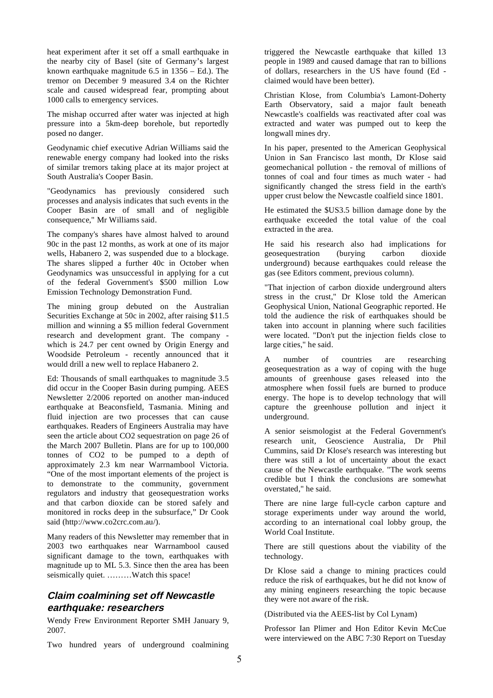heat experiment after it set off a small earthquake in the nearby city of Basel (site of Germany's largest known earthquake magnitude 6.5 in  $1356 - Ed$ .). The tremor on December 9 measured 3.4 on the Richter scale and caused widespread fear, prompting about 1000 calls to emergency services.

The mishap occurred after water was injected at high pressure into a 5km-deep borehole, but reportedly posed no danger.

Geodynamic chief executive Adrian Williams said the renewable energy company had looked into the risks of similar tremors taking place at its major project at South Australia's Cooper Basin.

"Geodynamics has previously considered such processes and analysis indicates that such events in the Cooper Basin are of small and of negligible consequence," Mr Williams said.

The company's shares have almost halved to around 90c in the past 12 months, as work at one of its major wells, Habanero 2, was suspended due to a blockage. The shares slipped a further 40c in October when Geodynamics was unsuccessful in applying for a cut of the federal Government's \$500 million Low Emission Technology Demonstration Fund.

The mining group debuted on the Australian Securities Exchange at 50c in 2002, after raising \$11.5 million and winning a \$5 million federal Government research and development grant. The company which is 24.7 per cent owned by Origin Energy and Woodside Petroleum - recently announced that it would drill a new well to replace Habanero 2.

Ed: Thousands of small earthquakes to magnitude 3.5 did occur in the Cooper Basin during pumping. AEES Newsletter 2/2006 reported on another man-induced earthquake at Beaconsfield, Tasmania. Mining and fluid injection are two processes that can cause earthquakes. Readers of Engineers Australia may have seen the article about CO2 sequestration on page 26 of the March 2007 Bulletin. Plans are for up to 100,000 tonnes of CO2 to be pumped to a depth of approximately 2.3 km near Warrnambool Victoria. "One of the most important elements of the project is to demonstrate to the community, government regulators and industry that geosequestration works and that carbon dioxide can be stored safely and monitored in rocks deep in the subsurface," Dr Cook said (http://www.co2crc.com.au/).

Many readers of this Newsletter may remember that in 2003 two earthquakes near Warrnambool caused significant damage to the town, earthquakes with magnitude up to ML 5.3. Since then the area has been seismically quiet. ………Watch this space!

## **Claim coalmining set off Newcastle earthquake: researchers**

Wendy Frew Environment Reporter SMH January 9, 2007.

Two hundred years of underground coalmining

triggered the Newcastle earthquake that killed 13 people in 1989 and caused damage that ran to billions of dollars, researchers in the US have found (Ed claimed would have been better).

Christian Klose, from Columbia's Lamont-Doherty Earth Observatory, said a major fault beneath Newcastle's coalfields was reactivated after coal was extracted and water was pumped out to keep the longwall mines dry.

In his paper, presented to the American Geophysical Union in San Francisco last month, Dr Klose said geomechanical pollution - the removal of millions of tonnes of coal and four times as much water - had significantly changed the stress field in the earth's upper crust below the Newcastle coalfield since 1801.

He estimated the \$US3.5 billion damage done by the earthquake exceeded the total value of the coal extracted in the area.

He said his research also had implications for geosequestration (burying carbon dioxide underground) because earthquakes could release the gas (see Editors comment, previous column).

"That injection of carbon dioxide underground alters stress in the crust," Dr Klose told the American Geophysical Union, National Geographic reported. He told the audience the risk of earthquakes should be taken into account in planning where such facilities were located. "Don't put the injection fields close to large cities," he said.

A number of countries are researching geosequestration as a way of coping with the huge amounts of greenhouse gases released into the atmosphere when fossil fuels are burned to produce energy. The hope is to develop technology that will capture the greenhouse pollution and inject it underground.

A senior seismologist at the Federal Government's research unit, Geoscience Australia, Dr Phil Cummins, said Dr Klose's research was interesting but there was still a lot of uncertainty about the exact cause of the Newcastle earthquake. "The work seems credible but I think the conclusions are somewhat overstated," he said.

There are nine large full-cycle carbon capture and storage experiments under way around the world, according to an international coal lobby group, the World Coal Institute.

There are still questions about the viability of the technology.

Dr Klose said a change to mining practices could reduce the risk of earthquakes, but he did not know of any mining engineers researching the topic because they were not aware of the risk.

(Distributed via the AEES-list by Col Lynam)

Professor Ian Plimer and Hon Editor Kevin McCue were interviewed on the ABC 7:30 Report on Tuesday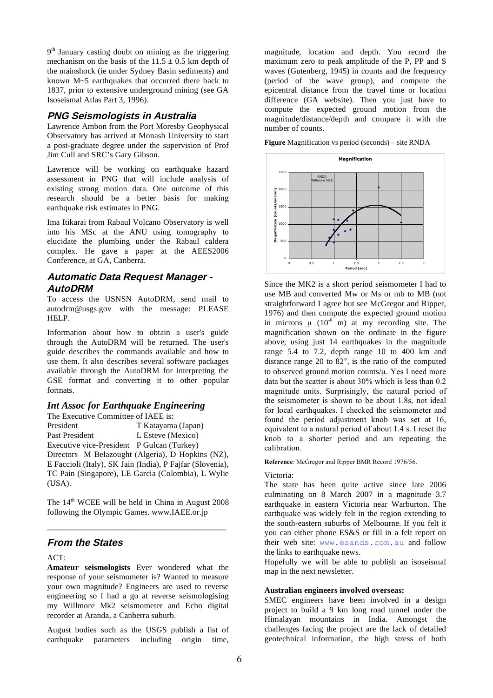$9<sup>th</sup>$  January casting doubt on mining as the triggering mechanism on the basis of the  $11.5 \pm 0.5$  km depth of the mainshock (ie under Sydney Basin sediments) and known M~5 earthquakes that occurred there back to 1837, prior to extensive underground mining (see GA Isoseismal Atlas Part 3, 1996).

#### **PNG Seismologists in Australia**

Lawrence Ambon from the Port Moresby Geophysical Observatory has arrived at Monash University to start a post-graduate degree under the supervision of Prof Jim Cull and SRC's Gary Gibson.

Lawrence will be working on earthquake hazard assessment in PNG that will include analysis of existing strong motion data. One outcome of this research should be a better basis for making earthquake risk estimates in PNG.

Ima Itikarai from Rabaul Volcano Observatory is well into his MSc at the ANU using tomography to elucidate the plumbing under the Rabaul caldera complex. He gave a paper at the AEES2006 Conference, at GA, Canberra.

#### **Automatic Data Request Manager - AutoDRM**

To access the USNSN AutoDRM, send mail to autodrm@usgs.gov with the message: PLEASE HELP.

Information about how to obtain a user's guide through the AutoDRM will be returned. The user's guide describes the commands available and how to use them. It also describes several software packages available through the AutoDRM for interpreting the GSE format and converting it to other popular formats.

#### *Int Assoc for Earthquake Engineering*

The Executive Committee of IAEE is:

President T Katayama (Japan) Past President L Esteve (Mexico) Executive vice-President P Gulcan (Turkey) Directors M Belazought (Algeria), D Hopkins (NZ), E Faccioli (Italy), SK Jain (India), P Fajfar (Slovenia), TC Pain (Singapore), LE Garcia (Colombia), L Wylie (USA).

The 14<sup>th</sup> WCEE will be held in China in August 2008 following the Olympic Games. www.IAEE.or.jp

\_\_\_\_\_\_\_\_\_\_\_\_\_\_\_\_\_\_\_\_\_\_\_\_\_\_\_\_\_\_\_\_\_\_\_\_\_\_\_\_\_\_\_

## **From the States**

#### ACT:

**Amateur seismologists** Ever wondered what the response of your seismometer is? Wanted to measure your own magnitude? Engineers are used to reverse engineering so I had a go at reverse seismologising my Willmore Mk2 seismometer and Echo digital recorder at Aranda, a Canberra suburb.

August bodies such as the USGS publish a list of earthquake parameters including origin time,

magnitude, location and depth. You record the maximum zero to peak amplitude of the P, PP and S waves (Gutenberg, 1945) in counts and the frequency (period of the wave group), and compute the epicentral distance from the travel time or location difference (GA website). Then you just have to compute the expected ground motion from the magnitude/distance/depth and compare it with the number of counts.

**Figure** Magnification vs period (seconds) – site RNDA



Since the MK2 is a short period seismometer I had to use MB and converted Mw or Ms or mb to MB (not straightforward I agree but see McGregor and Ripper, 1976) and then compute the expected ground motion in microns  $\mu$  (10<sup>-6</sup> m) at my recording site. The magnification shown on the ordinate in the figure above, using just 14 earthquakes in the magnitude range 5.4 to 7.2, depth range 10 to 400 km and distance range 20 to  $82^\circ$ , is the ratio of the computed to observed ground motion counts/µ. Yes I need more data but the scatter is about 30% which is less than 0.2 magnitude units. Surprisingly, the natural period of the seismometer is shown to be about 1.8s, not ideal for local earthquakes. I checked the seismometer and found the period adjustment knob was set at 16, equivalent to a natural period of about 1.4 s. I reset the knob to a shorter period and am repeating the calibration.

**Reference**: McGregor and Ripper BMR Record 1976/56.

#### Victoria:

The state has been quite active since late 2006 culminating on 8 March 2007 in a magnitude 3.7 earthquake in eastern Victoria near Warburton. The earthquake was widely felt in the region extending to the south-eastern suburbs of Melbourne. If you felt it you can either phone ES&S or fill in a felt report on their web site: www.esands.com.au and follow the links to earthquake news.

Hopefully we will be able to publish an isoseismal map in the next newsletter.

#### **Australian engineers involved overseas:**

SMEC engineers have been involved in a design project to build a 9 km long road tunnel under the Himalayan mountains in India. Amongst the challenges facing the project are the lack of detailed geotechnical information, the high stress of both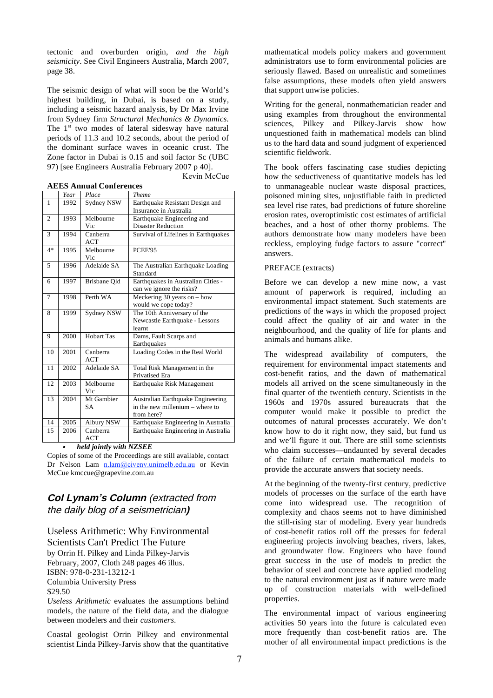tectonic and overburden origin, *and the high seismicity*. See Civil Engineers Australia, March 2007, page 38.

The seismic design of what will soon be the World's highest building, in Dubai, is based on a study, including a seismic hazard analysis, by Dr Max Irvine from Sydney firm *Structural Mechanics & Dynamics*. The  $1<sup>st</sup>$  two modes of lateral sidesway have natural periods of 11.3 and 10.2 seconds, about the period of the dominant surface waves in oceanic crust. The Zone factor in Dubai is 0.15 and soil factor Sc (UBC 97) [see Engineers Australia February 2007 p 40]. Kevin McCue

#### **AEES Annual Conferences**

|                | Year | Place             | <b>Theme</b>                         |
|----------------|------|-------------------|--------------------------------------|
| 1              | 1992 | Sydney NSW        | Earthquake Resistant Design and      |
|                |      |                   | Insurance in Australia               |
| $\overline{c}$ | 1993 | Melbourne         | Earthquake Engineering and           |
|                |      | Vic               | <b>Disaster Reduction</b>            |
| 3              | 1994 | Canberra          | Survival of Lifelines in Earthquakes |
|                |      | ACT               |                                      |
| $4*$           | 1995 | Melbourne         | PCEE'95                              |
|                |      | Vic               |                                      |
| 5              | 1996 | Adelaide SA       | The Australian Earthquake Loading    |
|                |      |                   | Standard                             |
| 6              | 1997 | Brisbane Qld      | Earthquakes in Australian Cities -   |
|                |      |                   | can we ignore the risks?             |
| 7              | 1998 | Perth WA          | Meckering 30 years on $-$ how        |
|                |      |                   | would we cope today?                 |
| 8              | 1999 | Sydney NSW        | The 10th Anniversary of the          |
|                |      |                   | Newcastle Earthquake - Lessons       |
|                |      |                   | learnt                               |
| 9              | 2000 | <b>Hobart Tas</b> | Dams, Fault Scarps and               |
|                |      |                   | Earthquakes                          |
| 10             | 2001 | Canberra          | Loading Codes in the Real World      |
|                |      | ACT               |                                      |
| 11             | 2002 | Adelaide SA       | Total Risk Management in the         |
|                |      |                   | <b>Privatised Era</b>                |
| 12             | 2003 | Melbourne         | Earthquake Risk Management           |
|                |      | Vic               |                                      |
| 13             | 2004 | Mt Gambier        | Australian Earthquake Engineering    |
|                |      | <b>SA</b>         | in the new millenium - where to      |
|                |      |                   | from here?                           |
| 14             | 2005 | Albury NSW        | Earthquake Engineering in Australia  |
| 15             | 2006 | Canberra          | Earthquake Engineering in Australia  |
|                |      | <b>ACT</b>        |                                      |

•*held jointly with NZSEE*

Copies of some of the Proceedings are still available, contact Dr Nelson Lam n.lam@civenv.unimelb.edu.au or Kevin McCue kmccue@grapevine.com.au

# **Col Lynam'<sup>s</sup> Column** (extracted from the daily blog of <sup>a</sup> seismetrician**)**

Useless Arithmetic: Why Environmental Scientists Can't Predict The Future by Orrin H. Pilkey and Linda Pilkey-Jarvis February, 2007, Cloth 248 pages 46 illus. ISBN: 978-0-231-13212-1 Columbia University Press \$29.50

*Useless Arithmetic* evaluates the assumptions behind models, the nature of the field data, and the dialogue between modelers and their *customers*.

Coastal geologist Orrin Pilkey and environmental scientist Linda Pilkey-Jarvis show that the quantitative

mathematical models policy makers and government administrators use to form environmental policies are seriously flawed. Based on unrealistic and sometimes false assumptions, these models often yield answers that support unwise policies.

Writing for the general, nonmathematician reader and using examples from throughout the environmental sciences, Pilkey and Pilkey-Jarvis show how unquestioned faith in mathematical models can blind us to the hard data and sound judgment of experienced scientific fieldwork.

The book offers fascinating case studies depicting how the seductiveness of quantitative models has led to unmanageable nuclear waste disposal practices, poisoned mining sites, unjustifiable faith in predicted sea level rise rates, bad predictions of future shoreline erosion rates, overoptimistic cost estimates of artificial beaches, and a host of other thorny problems. The authors demonstrate how many modelers have been reckless, employing fudge factors to assure "correct" answers.

#### PREFACE (extracts)

Before we can develop a new mine now, a vast amount of paperwork is required, including an environmental impact statement. Such statements are predictions of the ways in which the proposed project could affect the quality of air and water in the neighbourhood, and the quality of life for plants and animals and humans alike.

The widespread availability of computers, the requirement for environmental impact statements and cost-benefit ratios, and the dawn of mathematical models all arrived on the scene simultaneously in the final quarter of the twentieth century. Scientists in the 1960s and 1970s assured bureaucrats that the computer would make it possible to predict the outcomes of natural processes accurately. We don't know how to do it right now, they said, but fund us and we'll figure it out. There are still some scientists who claim successes—undaunted by several decades of the failure of certain mathematical models to provide the accurate answers that society needs.

At the beginning of the twenty-first century, predictive models of processes on the surface of the earth have come into widespread use. The recognition of complexity and chaos seems not to have diminished the still-rising star of modeling. Every year hundreds of cost-benefit ratios roll off the presses for federal engineering projects involving beaches, rivers, lakes, and groundwater flow. Engineers who have found great success in the use of models to predict the behavior of steel and concrete have applied modeling to the natural environment just as if nature were made up of construction materials with well-defined properties.

The environmental impact of various engineering activities 50 years into the future is calculated even more frequently than cost-benefit ratios are. The mother of all environmental impact predictions is the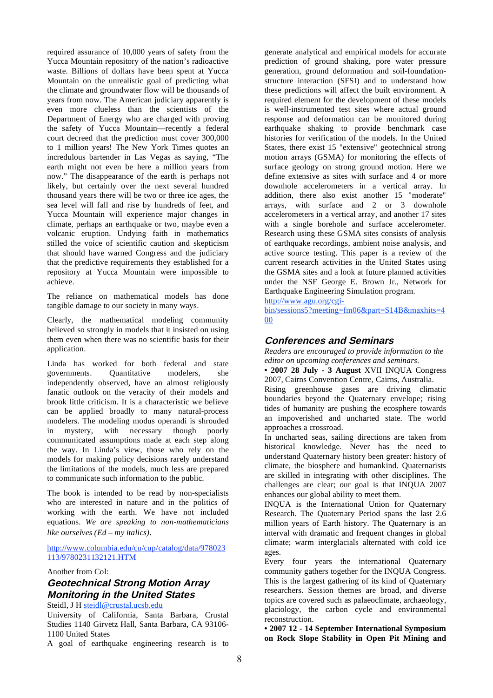required assurance of 10,000 years of safety from the Yucca Mountain repository of the nation's radioactive waste. Billions of dollars have been spent at Yucca Mountain on the unrealistic goal of predicting what the climate and groundwater flow will be thousands of years from now. The American judiciary apparently is even more clueless than the scientists of the Department of Energy who are charged with proving the safety of Yucca Mountain—recently a federal court decreed that the prediction must cover 300,000 to 1 million years! The New York Times quotes an incredulous bartender in Las Vegas as saying, "The earth might not even be here a million years from now." The disappearance of the earth is perhaps not likely, but certainly over the next several hundred thousand years there will be two or three ice ages, the sea level will fall and rise by hundreds of feet, and Yucca Mountain will experience major changes in climate, perhaps an earthquake or two, maybe even a volcanic eruption. Undying faith in mathematics stilled the voice of scientific caution and skepticism that should have warned Congress and the judiciary that the predictive requirements they established for a repository at Yucca Mountain were impossible to achieve.

The reliance on mathematical models has done tangible damage to our society in many ways.

Clearly, the mathematical modeling community believed so strongly in models that it insisted on using them even when there was no scientific basis for their application.

Linda has worked for both federal and state governments. Quantitative modelers, she independently observed, have an almost religiously fanatic outlook on the veracity of their models and brook little criticism. It is a characteristic we believe can be applied broadly to many natural-process modelers. The modeling modus operandi is shrouded<br>in mystery, with necessary though poorly in mystery, with necessary communicated assumptions made at each step along the way. In Linda's view, those who rely on the models for making policy decisions rarely understand the limitations of the models, much less are prepared to communicate such information to the public.

The book is intended to be read by non-specialists who are interested in nature and in the politics of working with the earth. We have not included equations. *We are speaking to non-mathematicians like ourselves (Ed – my italics).*

http://www.columbia.edu/cu/cup/catalog/data/978023 113/9780231132121.HTM

# Another from Col: **Geotechnical Strong Motion Array Monitoring in the United States**

Steidl, J H steidl@crustal.ucsb.edu

University of California, Santa Barbara, Crustal Studies 1140 Girvetz Hall, Santa Barbara, CA 93106- 1100 United States

A goal of earthquake engineering research is to

generate analytical and empirical models for accurate prediction of ground shaking, pore water pressure generation, ground deformation and soil-foundationstructure interaction (SFSI) and to understand how these predictions will affect the built environment. A required element for the development of these models is well-instrumented test sites where actual ground response and deformation can be monitored during earthquake shaking to provide benchmark case histories for verification of the models. In the United States, there exist 15 "extensive" geotechnical strong motion arrays (GSMA) for monitoring the effects of surface geology on strong ground motion. Here we define extensive as sites with surface and 4 or more downhole accelerometers in a vertical array. In addition, there also exist another 15 "moderate" arrays, with surface and 2 or 3 downhole accelerometers in a vertical array, and another 17 sites with a single borehole and surface accelerometer. Research using these GSMA sites consists of analysis of earthquake recordings, ambient noise analysis, and active source testing. This paper is a review of the current research activities in the United States using the GSMA sites and a look at future planned activities under the NSF George E. Brown Jr., Network for Earthquake Engineering Simulation program.

http://www.agu.org/cgi-

bin/sessions5?meeting=fm06&part=S14B&maxhits=4 00

#### **Conferences and Seminars**

*Readers are encouraged to provide information to the editor on upcoming conferences and seminars.*

**• 2007 28 July - 3 August** XVII INQUA Congress 2007, Cairns Convention Centre, Cairns, Australia.

Rising greenhouse gases are driving climatic boundaries beyond the Quaternary envelope; rising tides of humanity are pushing the ecosphere towards an impoverished and uncharted state. The world approaches a crossroad.

In uncharted seas, sailing directions are taken from historical knowledge. Never has the need to understand Quaternary history been greater: history of climate, the biosphere and humankind. Quaternarists are skilled in integrating with other disciplines. The challenges are clear; our goal is that INQUA 2007 enhances our global ability to meet them.

INQUA is the International Union for Quaternary Research. The Quaternary Period spans the last 2.6 million years of Earth history. The Quaternary is an interval with dramatic and frequent changes in global climate; warm interglacials alternated with cold ice ages.

Every four years the international Quaternary community gathers together for the INQUA Congress. This is the largest gathering of its kind of Quaternary researchers. Session themes are broad, and diverse topics are covered such as palaeoclimate, archaeology, glaciology, the carbon cycle and environmental reconstruction.

**• 2007 12 - 14 September International Symposium on Rock Slope Stability in Open Pit Mining and**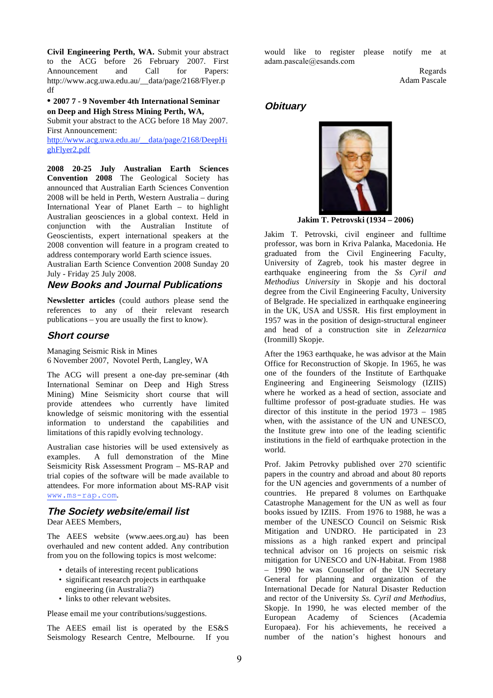**Civil Engineering Perth, WA.** Submit your abstract to the ACG before 26 February 2007. First Announcement and Call for Papers: http://www.acg.uwa.edu.au/\_\_data/page/2168/Flyer.p df

#### **• 2007 7 - 9 November 4th International Seminar on Deep and High Stress Mining Perth, WA,**

Submit your abstract to the ACG before 18 May 2007. First Announcement:

http://www.acg.uwa.edu.au/\_\_data/page/2168/DeepHi ghFlyer2.pdf

**2008 20-25 July Australian Earth Sciences Convention 2008** The Geological Society has announced that Australian Earth Sciences Convention 2008 will be held in Perth, Western Australia – during International Year of Planet Earth – to highlight Australian geosciences in a global context. Held in conjunction with the Australian Institute of Geoscientists, expert international speakers at the 2008 convention will feature in a program created to address contemporary world Earth science issues.

Australian Earth Science Convention 2008 Sunday 20 July - Friday 25 July 2008.

#### **New Books and Journal Publications**

**Newsletter articles** (could authors please send the references to any of their relevant research publications – you are usually the first to know).

#### **Short course**

Managing Seismic Risk in Mines 6 November 2007, Novotel Perth, Langley, WA

The ACG will present a one-day pre-seminar (4th International Seminar on Deep and High Stress Mining) Mine Seismicity short course that will provide attendees who currently have limited knowledge of seismic monitoring with the essential information to understand the capabilities and limitations of this rapidly evolving technology.

Australian case histories will be used extensively as examples. A full demonstration of the Mine Seismicity Risk Assessment Program – MS-RAP and trial copies of the software will be made available to attendees. For more information about MS-RAP visit www.ms-rap.com.

# **The Society website/email list**

Dear AEES Members,

The AEES website (www.aees.org.au) has been overhauled and new content added. Any contribution from you on the following topics is most welcome:

- details of interesting recent publications
- significant research projects in earthquake engineering (in Australia?)
- links to other relevant websites.

Please email me your contributions/suggestions.

The AEES email list is operated by the ES&S Seismology Research Centre, Melbourne. If you

would like to register please notify me at adam.pascale@esands.com

> Regards Adam Pascale

# **Obituary**



**Jakim T. Petrovski (1934 – 2006)**

Jakim T. Petrovski, civil engineer and fulltime professor, was born in Kriva Palanka, Macedonia. He graduated from the Civil Engineering Faculty, University of Zagreb, took his master degree in earthquake engineering from the *Ss Cyril and Methodius University* in Skopje and his doctoral degree from the Civil Engineering Faculty, University of Belgrade. He specialized in earthquake engineering in the UK, USA and USSR. His first employment in 1957 was in the position of design-structural engineer and head of a construction site in *Zelezarnica* (Ironmill) Skopje.

After the 1963 earthquake, he was advisor at the Main Office for Reconstruction of Skopje. In 1965, he was one of the founders of the Institute of Earthquake Engineering and Engineering Seismology (IZIIS) where he worked as a head of section, associate and fulltime professor of post-graduate studies. He was director of this institute in the period 1973 – 1985 when, with the assistance of the UN and UNESCO, the Institute grew into one of the leading scientific institutions in the field of earthquake protection in the world.

Prof. Jakim Petrovky published over 270 scientific papers in the country and abroad and about 80 reports for the UN agencies and governments of a number of countries. He prepared 8 volumes on Earthquake Catastrophe Management for the UN as well as four books issued by IZIIS. From 1976 to 1988, he was a member of the UNESCO Council on Seismic Risk Mitigation and UNDRO. He participated in 23 missions as a high ranked expert and principal technical advisor on 16 projects on seismic risk mitigation for UNESCO and UN-Habitat. From 1988 – 1990 he was Counsellor of the UN Secretary General for planning and organization of the International Decade for Natural Disaster Reduction and rector of the University *Ss. Cyril and Methodius*, Skopje. In 1990, he was elected member of the European Academy of Sciences (Academia Europaea). For his achievements, he received a number of the nation's highest honours and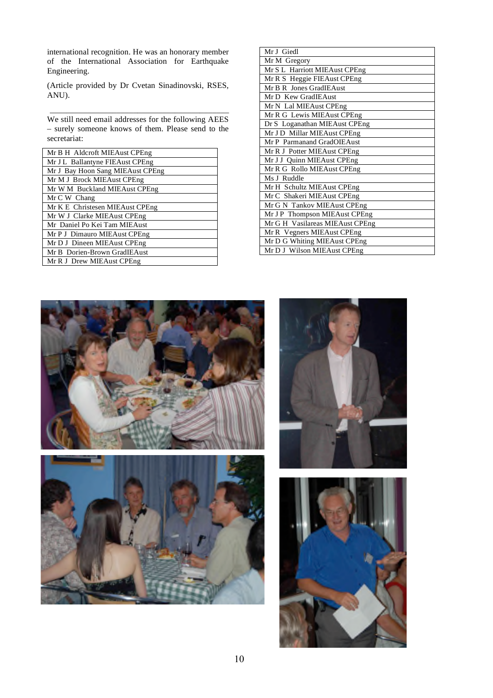international recognition. He was an honorary member of the International Association for Earthquake Engineering.

(Article provided by Dr Cvetan Sinadinovski, RSES, ANU).

We still need email addresses for the following AEES – surely someone knows of them. Please send to the secretariat:

\_\_\_\_\_\_\_\_\_\_\_\_\_\_\_\_\_\_\_\_\_\_\_\_\_\_\_\_\_\_\_\_\_\_\_\_\_\_\_\_\_\_\_

| Mr B H Aldcroft MIEAust CPEng    |
|----------------------------------|
| Mr J L Ballantyne FIEAust CPEng  |
| Mr J Bay Hoon Sang MIEAust CPEng |
| Mr M J Brock MIEAust CPEng       |
| Mr W M Buckland MIEAust CPEng    |
| Mr C W Chang                     |
| Mr K E Christesen MIEAust CPEng  |
| Mr W J Clarke MIEAust CPEng      |
| Mr Daniel Po Kei Tam MIEAust     |
| Mr P J Dimauro MIEAust CPEng     |
| Mr D J Dineen MIEAust CPEng      |
| Mr B Dorien-Brown GradIEAust     |
| Mr R J Drew MIEAust CPEng        |

| Mr J Giedl                      |
|---------------------------------|
| Mr M Gregory                    |
| Mr S L Harriott MIEAust CPEng   |
| Mr R S Heggie FIEAust CPEng     |
| Mr B R Jones GradIEAust         |
| Mr D Kew GradIEAust             |
| Mr N Lal MIEAust CPEng          |
| Mr R G Lewis MIEAust CPEng      |
| Dr S Loganathan MIEAust CPEng   |
| Mr J D Millar MIEAust CPEng     |
| Mr P Parmanand GradOIEAust      |
| Mr R J Potter MIEAust CPEng     |
| Mr J J Quinn MIEAust CPEng      |
| Mr R G Rollo MIEAust CPEng      |
| Ms J Ruddle                     |
| Mr H Schultz MIEAust CPEng      |
| Mr C Shakeri MIEAust CPEng      |
| Mr G N Tankov MIEAust CPEng     |
| Mr J P Thompson MIEAust CPEng   |
| Mr G H Vasilareas MIEAust CPEng |
| Mr R Vegners MIEAust CPEng      |
| Mr D G Whiting MIEAust CPEng    |
| Mr D J Wilson MIEAust CPEng     |







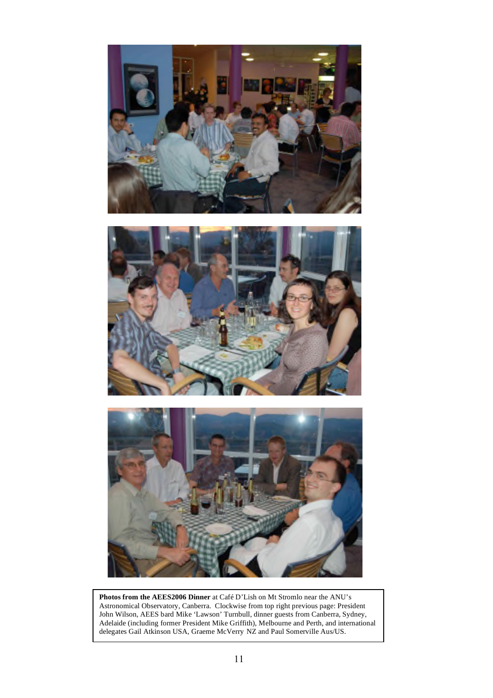





**Photos from the AEES2006 Dinner** at Café D'Lish on Mt Stromlo near the ANU's Astronomical Observatory, Canberra. Clockwise from top right previous page: President John Wilson, AEES bard Mike 'Lawson' Turnbull, dinner guests from Canberra, Sydney, Adelaide (including former President Mike Griffith), Melbourne and Perth, and international delegates Gail Atkinson USA, Graeme McVerry NZ and Paul Somerville Aus/US.